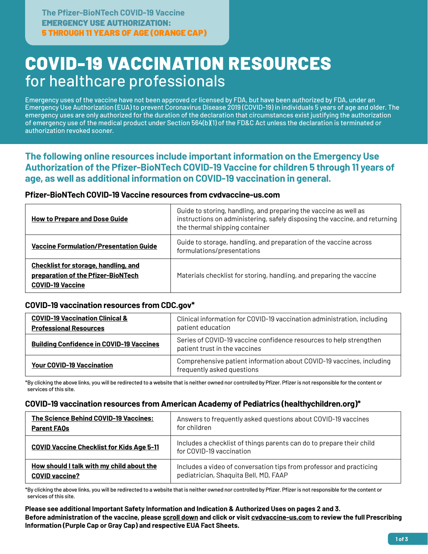# COVID-19 VACCINATION RESOURCES for healthcare professionals

Emergency uses of the vaccine have not been approved or licensed by FDA, but have been authorized by FDA, under an Emergency Use Authorization (EUA) to prevent Coronavirus Disease 2019 (COVID-19) in individuals 5 years of age and older. The emergency uses are only authorized for the duration of the declaration that circumstances exist justifying the authorization of emergency use of the medical product under Section 564(b)(1) of the FD&C Act unless the declaration is terminated or authorization revoked sooner.

**The following online resources include important information on the Emergency Use Authorization of the Pfizer-BioNTech COVID-19 Vaccine for children 5 through 11 years of age, as well as additional information on COVID-19 vaccination in general.**

### **Pfizer-BioNTech COVID-19 Vaccine resources from cvdvaccine-us.com**

| <b>How to Prepare and Dose Guide</b>                                                                         | Guide to storing, handling, and preparing the vaccine as well as<br>instructions on administering, safely disposing the vaccine, and returning  <br>the thermal shipping container |
|--------------------------------------------------------------------------------------------------------------|------------------------------------------------------------------------------------------------------------------------------------------------------------------------------------|
| <b>Vaccine Formulation/Presentation Guide</b>                                                                | Guide to storage, handling, and preparation of the vaccine across<br>formulations/presentations                                                                                    |
| <b>Checklist for storage, handling, and</b><br>preparation of the Pfizer-BioNTech<br><b>COVID-19 Vaccine</b> | Materials checklist for storing, handling, and preparing the vaccine                                                                                                               |

# **COVID-19 vaccination resources from CDC.gov\***

| <b>COVID-19 Vaccination Clinical &amp;</b><br><b>Professional Resources</b> | Clinical information for COVID-19 vaccination administration, including<br>patient education        |
|-----------------------------------------------------------------------------|-----------------------------------------------------------------------------------------------------|
| <b>Building Confidence in COVID-19 Vaccines</b>                             | Series of COVID-19 vaccine confidence resources to help strengthen<br>patient trust in the vaccines |
| <b>Your COVID-19 Vaccination</b>                                            | Comprehensive patient information about COVID-19 vaccines, including<br>frequently asked questions  |

\*By clicking the above links, you will be redirected to a website thatis neither owned nor controlled by Pfizer. Pfizeris notresponsible forthe content or services of this site.

# **COVID-19 vaccination resources from American Academy of Pediatrics (healthychildren.org)\***

| The Science Behind COVID-19 Vaccines:            | Answers to frequently asked questions about COVID-19 vaccines                                    |
|--------------------------------------------------|--------------------------------------------------------------------------------------------------|
| <b>Parent FAOs</b>                               | for children                                                                                     |
| <b>COVID Vaccine Checklist for Kids Age 5-11</b> | Includes a checklist of things parents can do to prepare their child<br>for COVID-19 vaccination |
| How should I talk with my child about the        | Includes a video of conversation tips from professor and practicing                              |
| <b>COVID vaccine?</b>                            | pediatrician, Shaquita Bell, MD, FAAP                                                            |

\*By clicking the above links, you will be redirected to a website thatis neither owned nor controlled by Pfizer. Pfizeris notresponsible forthe content or services of this site.

#### **Please see additional Important Safety Information and Indication & Authorized Uses on pages 2 and 3. Before administration of the vaccine, please [scroll down](#page-2-0) and click or visit [cvdvaccine-us.com t](http://cvdvaccine-us.com)o review the full Prescribing Information (Purple Cap or Gray Cap) and respective EUA Fact Sheets.**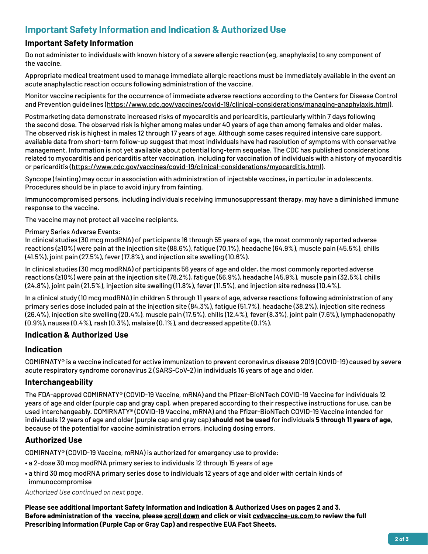# **Important Safety Information and Indication & Authorized Use**

# **Important Safety Information**

Do not administer to individuals with known history of a severe allergic reaction (eg, anaphylaxis) to any component of the vaccine.

Appropriate medical treatment used to manage immediate allergic reactions must be immediately available in the event an acute anaphylactic reaction occurs following administration of the vaccine.

Monitor vaccine recipients for the occurrence of immediate adverse reactions according to the Centers for Disease Control and Prevention guidelines (https://www.cdc.gov/vaccines/covid-19/clinical-considerations/managing-anaphylaxis.html).

Postmarketing data demonstrate increased risks of myocarditis and pericarditis, particularly within 7 days following the second dose. The observed risk is higher among males under 40 years of age than among females and older males. The observed risk is highest in males 12 through 17 years of age. Although some cases required intensive care support, available data from short-term follow-up suggest that most individuals have had resolution of symptoms with conservative management. Information is not yet available about potential long-term sequelae. The CDC has published considerations related to myocarditis and pericarditis after vaccination, including for vaccination of individuals with a history of myocarditis or pericarditis (https://www.cdc.gov/vaccines/covid-19/clinical-considerations/myocarditis.html).

Syncope (fainting) may occur in association with administration of injectable vaccines, in particular in adolescents. Procedures should be in place to avoid injury from fainting.

Immunocompromised persons, including individuals receiving immunosuppressant therapy, may have a diminished immune response to the vaccine.

The vaccine may not protect all vaccine recipients.

#### Primary Series Adverse Events:

In clinical studies (30 mcg modRNA) of participants 16 through 55 years of age, the most commonly reported adverse reactions (≥10%) were pain at the injection site (88.6%), fatigue (70.1%), headache (64.9%), muscle pain (45.5%), chills (41.5%), joint pain (27.5%), fever (17.8%), and injection site swelling (10.6%).

In clinical studies (30 mcg modRNA) of participants 56 years of age and older, the most commonly reported adverse reactions (≥10%) were pain at the injection site (78.2%), fatigue (56.9%), headache (45.9%), muscle pain (32.5%), chills (24.8%), joint pain (21.5%), injection site swelling (11.8%), fever (11.5%), and injection site redness (10.4%).

In a clinical study (10 mcg modRNA) in children 5 through 11 years of age, adverse reactions following administration of any primary series dose included pain at the injection site (84.3%), fatigue (51.7%), headache (38.2%), injection site redness (26.4%), injection site swelling (20.4%), muscle pain (17.5%), chills (12.4%), fever (8.3%), joint pain (7.6%), lymphadenopathy (0.9%), nausea (0.4%), rash (0.3%), malaise (0.1%), and decreased appetite (0.1%).

# **Indication & Authorized Use**

# **Indication**

COMIRNATY® is a vaccine indicated for active immunization to prevent coronavirus disease 2019 (COVID-19) caused by severe acute respiratory syndrome coronavirus 2 (SARS-CoV-2) in individuals 16 years of age and older.

#### **Interchangeability**

The FDA-approved COMIRNATY® (COVID-19 Vaccine, mRNA) and the Pfizer-BioNTech COVID-19 Vaccine for individuals 12 years of age and older (purple cap and gray cap), when prepared according to their respective instructions for use, can be used interchangeably. COMIRNATY® (COVID-19 Vaccine, mRNA) and the Pfizer-BioNTech COVID-19 Vaccine intended for individuals 12 years of age and older (purple cap and gray cap) **should not be used** for individuals **5 through 11 years of age**, because of the potential for vaccine administration errors, including dosing errors.

# **Authorized Use**

COMIRNATY® (COVID-19 Vaccine, mRNA) is authorized for emergency use to provide:

- a 2-dose 30 mcg modRNA primary series to individuals 12 through 15 years of age
- a third 30 mcg modRNA primary series dose to individuals 12 years of age and older with certain kinds of immunocompromise

*Authorized Use continued on next page.*

**Please see additional Important Safety Information and Indication & Authorized Uses on pages 2 and 3. Before administration of the vaccine, please [scroll down](#page-2-0) and click or visi[t cvdvaccine-us.com](http://cvdvaccine-us.com) to review the full Prescribing Information (Purple Cap or Gray Cap) and respective EUA Fact Sheets.**